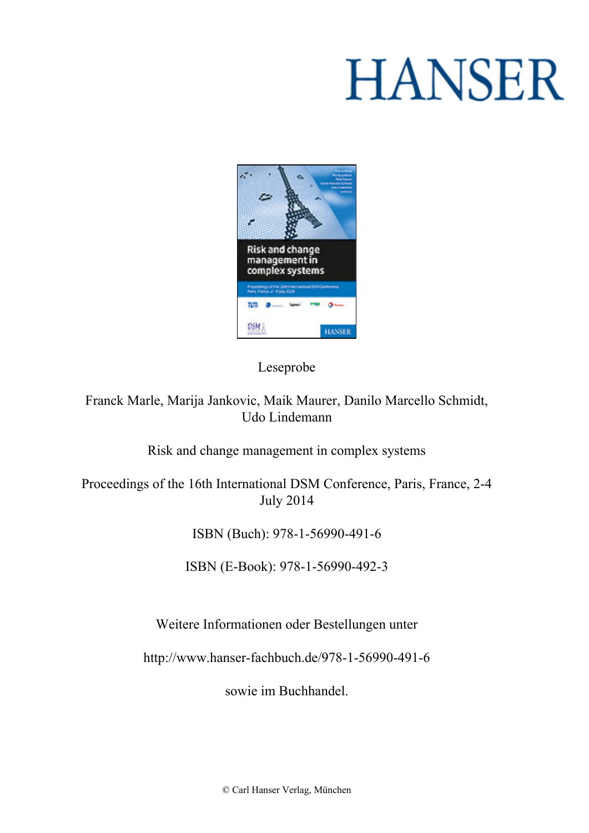# **HANSER**



**Leseprobe**

**Franck Marle, Marija Jankovic, Maik Maurer, Danilo Marcello Schmidt, Udo Lindemann**

**Risk and change management in complex systems**

**Proceedings of the 16th International DSM Conference, Paris, France, 2-4 July 2014**

**ISBN (Buch): 978-1-56990-491-6**

**ISBN (E-Book): 978-1-56990-492-3**

**Weitere Informationen oder Bestellungen unter**

**<http://www.hanser-fachbuch.de/978-1-56990-491-6>**

**sowie im Buchhandel.**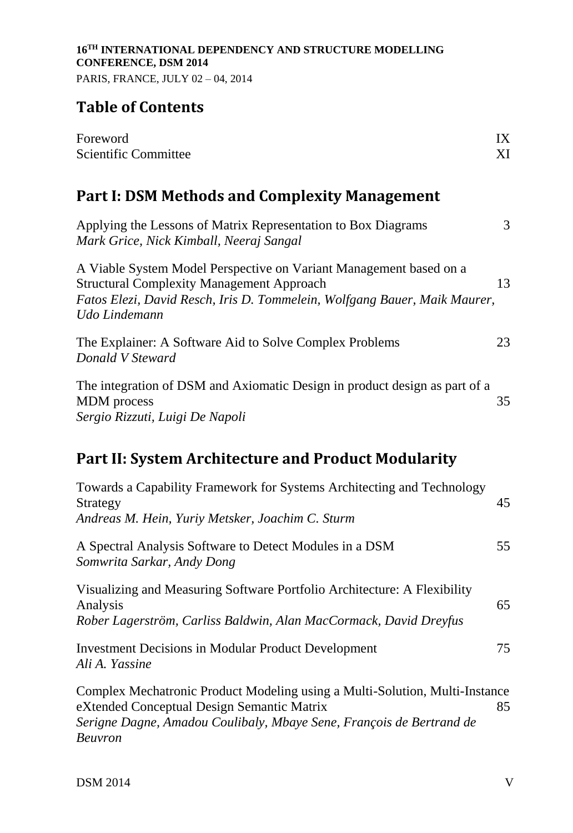#### **16TH INTERNATIONAL DEPENDENCY AND STRUCTURE MODELLING CONFERENCE, DSM 2014** PARIS, FRANCE, JULY 02 – 04, 2014

**Table of Contents**

| Foreword<br>Scientific Committee                                                                                                                                                                                     | IX<br>XI |
|----------------------------------------------------------------------------------------------------------------------------------------------------------------------------------------------------------------------|----------|
| <b>Part I: DSM Methods and Complexity Management</b>                                                                                                                                                                 |          |
| Applying the Lessons of Matrix Representation to Box Diagrams<br>Mark Grice, Nick Kimball, Neeraj Sangal                                                                                                             | 3        |
| A Viable System Model Perspective on Variant Management based on a<br><b>Structural Complexity Management Approach</b><br>Fatos Elezi, David Resch, Iris D. Tommelein, Wolfgang Bauer, Maik Maurer,<br>Udo Lindemann | 13       |
| The Explainer: A Software Aid to Solve Complex Problems<br>Donald V Steward                                                                                                                                          | 23       |
| The integration of DSM and Axiomatic Design in product design as part of a<br><b>MDM</b> process<br>Sergio Rizzuti, Luigi De Napoli                                                                                  | 35       |
|                                                                                                                                                                                                                      |          |

# **Part II: System Architecture and Product Modularity**

| Towards a Capability Framework for Systems Architecting and Technology<br>Strategy<br>Andreas M. Hein, Yuriy Metsker, Joachim C. Sturm                                                                       | 45 |
|--------------------------------------------------------------------------------------------------------------------------------------------------------------------------------------------------------------|----|
| A Spectral Analysis Software to Detect Modules in a DSM<br>Somwrita Sarkar, Andy Dong                                                                                                                        | 55 |
| Visualizing and Measuring Software Portfolio Architecture: A Flexibility<br>Analysis<br>Rober Lagerström, Carliss Baldwin, Alan MacCormack, David Dreyfus                                                    | 65 |
| <b>Investment Decisions in Modular Product Development</b><br>Ali A. Yassine                                                                                                                                 | 75 |
| Complex Mechatronic Product Modeling using a Multi-Solution, Multi-Instance<br>eXtended Conceptual Design Semantic Matrix<br>Serigne Dagne, Amadou Coulibaly, Mbaye Sene, François de Bertrand de<br>Beuvron | 85 |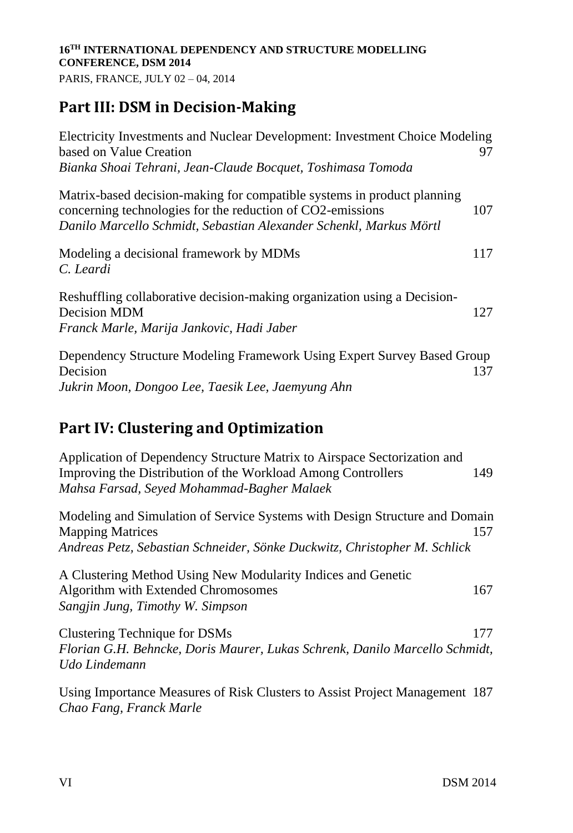# **Part III: DSM in Decision-Making**

| Electricity Investments and Nuclear Development: Investment Choice Modeling<br>based on Value Creation<br>Bianka Shoai Tehrani, Jean-Claude Bocquet, Toshimasa Tomoda                                       | 97  |
|-------------------------------------------------------------------------------------------------------------------------------------------------------------------------------------------------------------|-----|
| Matrix-based decision-making for compatible systems in product planning<br>concerning technologies for the reduction of CO2-emissions<br>Danilo Marcello Schmidt, Sebastian Alexander Schenkl, Markus Mörtl | 107 |
| Modeling a decisional framework by MDMs<br>C. Leardi                                                                                                                                                        | 117 |
| Reshuffling collaborative decision-making organization using a Decision-<br>Decision MDM<br>Franck Marle, Marija Jankovic, Hadi Jaber                                                                       | 127 |
| Dependency Structure Modeling Framework Using Expert Survey Based Group<br>Decision<br>Jukrin Moon, Dongoo Lee, Taesik Lee, Jaemyung Ahn                                                                    | 137 |
| Part IV: Clustering and Optimization                                                                                                                                                                        |     |
| Application of Dependency Structure Matrix to Airspace Sectorization and<br>Improving the Distribution of the Workload Among Controllers<br>Mahsa Farsad, Seyed Mohammad-Bagher Malaek                      | 149 |
| Modeling and Simulation of Service Systems with Design Structure and Domain<br><b>Mapping Matrices</b><br>Andreas Petz, Sebastian Schneider, Sönke Duckwitz, Christopher M. Schlick                         | 157 |

A Clustering Method Using New Modularity Indices and Genetic Algorithm with Extended Chromosomes 167 *Sangjin Jung, Timothy W. Simpson*

Clustering Technique for DSMs 177 *Florian G.H. Behncke, Doris Maurer, Lukas Schrenk, Danilo Marcello Schmidt, Udo Lindemann*

Using Importance Measures of Risk Clusters to Assist Project Management 187 *Chao Fang, Franck Marle*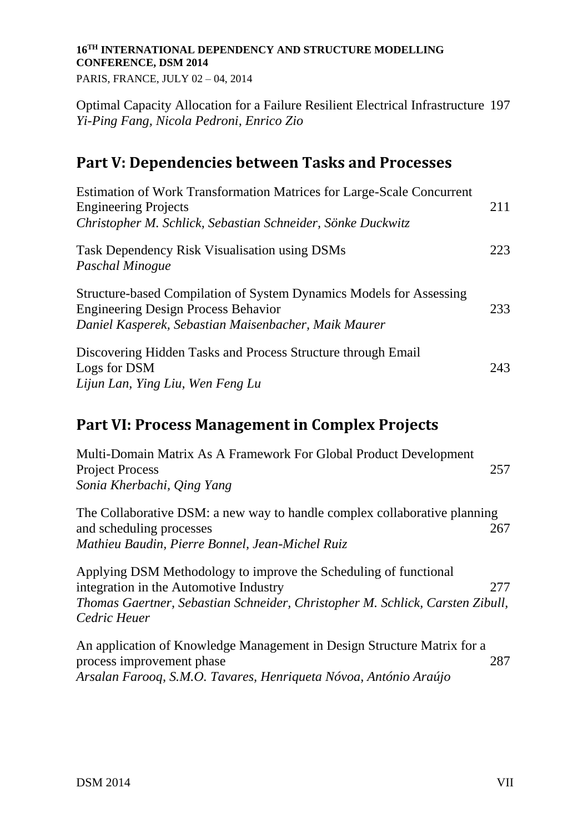#### **16TH INTERNATIONAL DEPENDENCY AND STRUCTURE MODELLING CONFERENCE, DSM 2014**

PARIS, FRANCE, JULY 02 – 04, 2014

Optimal Capacity Allocation for a Failure Resilient Electrical Infrastructure 197 *Yi-Ping Fang, Nicola Pedroni, Enrico Zio*

# **Part V: Dependencies between Tasks and Processes**

| Estimation of Work Transformation Matrices for Large-Scale Concurrent<br><b>Engineering Projects</b><br>Christopher M. Schlick, Sebastian Schneider, Sönke Duckwitz       | 211 |
|---------------------------------------------------------------------------------------------------------------------------------------------------------------------------|-----|
| Task Dependency Risk Visualisation using DSMs<br>Paschal Minogue                                                                                                          | 223 |
| Structure-based Compilation of System Dynamics Models for Assessing<br><b>Engineering Design Process Behavior</b><br>Daniel Kasperek, Sebastian Maisenbacher, Maik Maurer | 233 |
| Discovering Hidden Tasks and Process Structure through Email<br>Logs for DSM<br>Lijun Lan, Ying Liu, Wen Feng Lu                                                          | 243 |

# **Part VI: Process Management in Complex Projects**

| Multi-Domain Matrix As A Framework For Global Product Development<br><b>Project Process</b>                                                                                                                 | 257 |
|-------------------------------------------------------------------------------------------------------------------------------------------------------------------------------------------------------------|-----|
| Sonia Kherbachi, Qing Yang                                                                                                                                                                                  |     |
| The Collaborative DSM: a new way to handle complex collaborative planning<br>and scheduling processes<br>Mathieu Baudin, Pierre Bonnel, Jean-Michel Ruiz                                                    | 267 |
| Applying DSM Methodology to improve the Scheduling of functional<br>integration in the Automotive Industry<br>Thomas Gaertner, Sebastian Schneider, Christopher M. Schlick, Carsten Zibull,<br>Cedric Heuer | 277 |
| An application of Knowledge Management in Design Structure Matrix for a<br>process improvement phase<br>Arsalan Farooq, S.M.O. Tavares, Henriqueta Nóvoa, António Araújo                                    | 287 |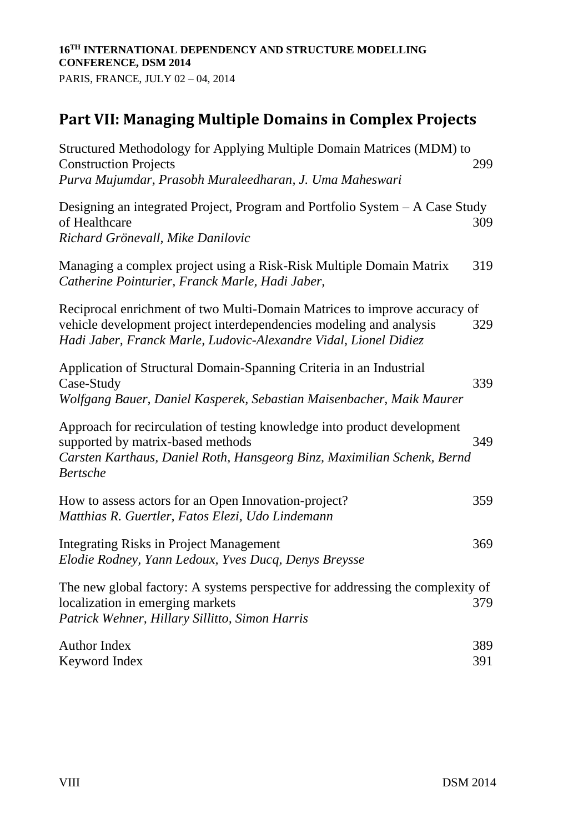# **16TH INTERNATIONAL DEPENDENCY AND STRUCTURE MODELLING CONFERENCE, DSM 2014**

PARIS, FRANCE, JULY 02 – 04, 2014

### **Part VII: Managing Multiple Domains in Complex Projects**

| Structured Methodology for Applying Multiple Domain Matrices (MDM) to<br><b>Construction Projects</b><br>Purva Mujumdar, Prasobh Muraleedharan, J. Uma Maheswari                                                     | 299        |
|----------------------------------------------------------------------------------------------------------------------------------------------------------------------------------------------------------------------|------------|
| Designing an integrated Project, Program and Portfolio System – A Case Study<br>of Healthcare<br>Richard Grönevall, Mike Danilovic                                                                                   | 309        |
| Managing a complex project using a Risk-Risk Multiple Domain Matrix<br>Catherine Pointurier, Franck Marle, Hadi Jaber,                                                                                               | 319        |
| Reciprocal enrichment of two Multi-Domain Matrices to improve accuracy of<br>vehicle development project interdependencies modeling and analysis<br>Hadi Jaber, Franck Marle, Ludovic-Alexandre Vidal, Lionel Didiez | 329        |
| Application of Structural Domain-Spanning Criteria in an Industrial<br>Case-Study<br>Wolfgang Bauer, Daniel Kasperek, Sebastian Maisenbacher, Maik Maurer                                                            | 339        |
| Approach for recirculation of testing knowledge into product development<br>supported by matrix-based methods<br>Carsten Karthaus, Daniel Roth, Hansgeorg Binz, Maximilian Schenk, Bernd<br>Bertsche                 | 349        |
| How to assess actors for an Open Innovation-project?<br>Matthias R. Guertler, Fatos Elezi, Udo Lindemann                                                                                                             | 359        |
| <b>Integrating Risks in Project Management</b><br>Elodie Rodney, Yann Ledoux, Yves Ducq, Denys Breysse                                                                                                               | 369        |
| The new global factory: A systems perspective for addressing the complexity of<br>localization in emerging markets<br>Patrick Wehner, Hillary Sillitto, Simon Harris                                                 | 379        |
| <b>Author Index</b><br>Keyword Index                                                                                                                                                                                 | 389<br>391 |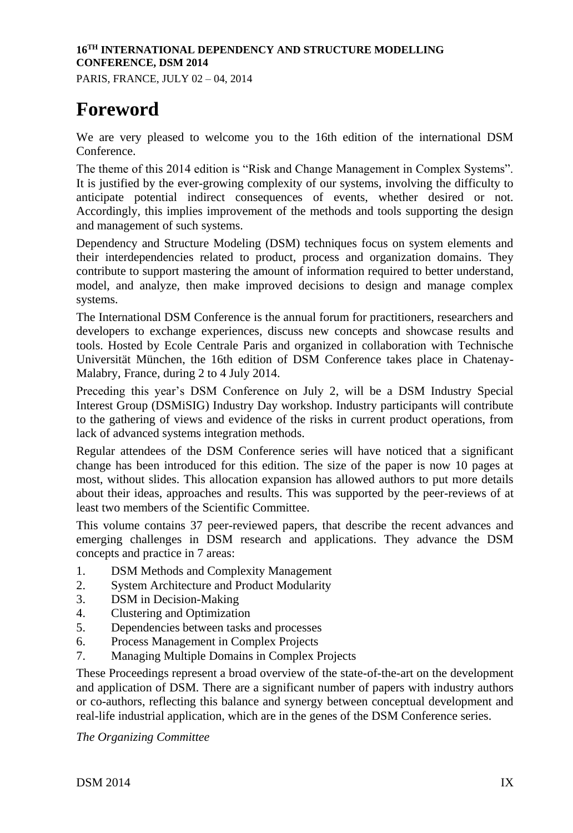PARIS, FRANCE, JULY 02 – 04, 2014

# **Foreword**

We are very pleased to welcome you to the 16th edition of the international DSM Conference.

The theme of this 2014 edition is "Risk and Change Management in Complex Systems". It is justified by the ever-growing complexity of our systems, involving the difficulty to anticipate potential indirect consequences of events, whether desired or not. Accordingly, this implies improvement of the methods and tools supporting the design and management of such systems.

Dependency and Structure Modeling (DSM) techniques focus on system elements and their interdependencies related to product, process and organization domains. They contribute to support mastering the amount of information required to better understand, model, and analyze, then make improved decisions to design and manage complex systems.

The International DSM Conference is the annual forum for practitioners, researchers and developers to exchange experiences, discuss new concepts and showcase results and tools. Hosted by Ecole Centrale Paris and organized in collaboration with Technische Universität München, the 16th edition of DSM Conference takes place in Chatenay-Malabry, France, during 2 to 4 July 2014.

Preceding this year's DSM Conference on July 2, will be a DSM Industry Special Interest Group (DSMiSIG) Industry Day workshop. Industry participants will contribute to the gathering of views and evidence of the risks in current product operations, from lack of advanced systems integration methods.

Regular attendees of the DSM Conference series will have noticed that a significant change has been introduced for this edition. The size of the paper is now 10 pages at most, without slides. This allocation expansion has allowed authors to put more details about their ideas, approaches and results. This was supported by the peer-reviews of at least two members of the Scientific Committee.

This volume contains 37 peer-reviewed papers, that describe the recent advances and emerging challenges in DSM research and applications. They advance the DSM concepts and practice in 7 areas:

- 1. DSM Methods and Complexity Management
- 2. System Architecture and Product Modularity
- 3. DSM in Decision-Making
- 4. Clustering and Optimization
- 5. Dependencies between tasks and processes
- 6. Process Management in Complex Projects
- 7. Managing Multiple Domains in Complex Projects

These Proceedings represent a broad overview of the state-of-the-art on the development and application of DSM. There are a significant number of papers with industry authors or co-authors, reflecting this balance and synergy between conceptual development and real-life industrial application, which are in the genes of the DSM Conference series.

*The Organizing Committee*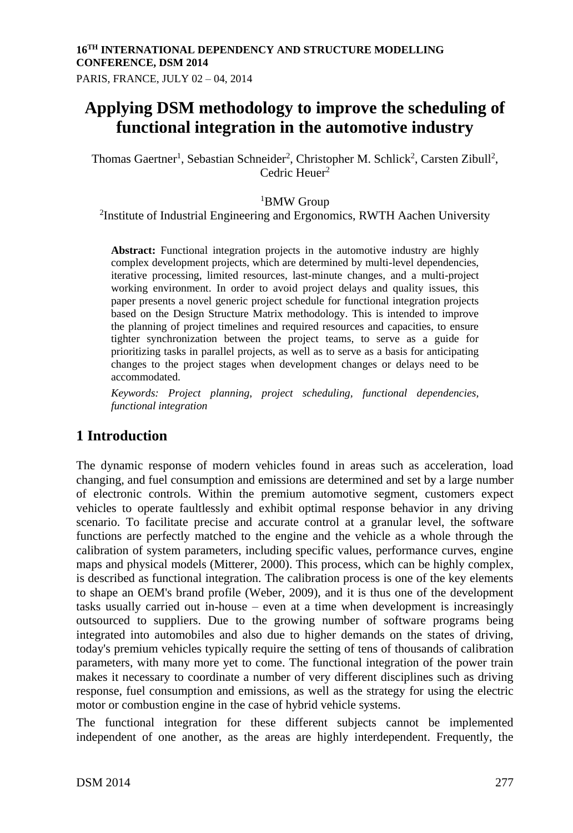PARIS, FRANCE, JULY 02 – 04, 2014

# **Applying DSM methodology to improve the scheduling of functional integration in the automotive industry**

Thomas Gaertner<sup>1</sup>, Sebastian Schneider<sup>2</sup>, Christopher M. Schlick<sup>2</sup>, Carsten Zibull<sup>2</sup>, Cedric Heuer<sup>2</sup>

#### <sup>1</sup>BMW Group

<sup>2</sup>Institute of Industrial Engineering and Ergonomics, RWTH Aachen University

**Abstract:** Functional integration projects in the automotive industry are highly complex development projects, which are determined by multi-level dependencies, iterative processing, limited resources, last-minute changes, and a multi-project working environment. In order to avoid project delays and quality issues, this paper presents a novel generic project schedule for functional integration projects based on the Design Structure Matrix methodology. This is intended to improve the planning of project timelines and required resources and capacities, to ensure tighter synchronization between the project teams, to serve as a guide for prioritizing tasks in parallel projects, as well as to serve as a basis for anticipating changes to the project stages when development changes or delays need to be accommodated.

*Keywords: Project planning, project scheduling, functional dependencies, functional integration*

#### **1 Introduction**

The dynamic response of modern vehicles found in areas such as acceleration, load changing, and fuel consumption and emissions are determined and set by a large number of electronic controls. Within the premium automotive segment, customers expect vehicles to operate faultlessly and exhibit optimal response behavior in any driving scenario. To facilitate precise and accurate control at a granular level, the software functions are perfectly matched to the engine and the vehicle as a whole through the calibration of system parameters, including specific values, performance curves, engine maps and physical models (Mitterer, 2000). This process, which can be highly complex, is described as functional integration. The calibration process is one of the key elements to shape an OEM's brand profile (Weber, 2009), and it is thus one of the development tasks usually carried out in-house – even at a time when development is increasingly outsourced to suppliers. Due to the growing number of software programs being integrated into automobiles and also due to higher demands on the states of driving, today's premium vehicles typically require the setting of tens of thousands of calibration parameters, with many more yet to come. The functional integration of the power train makes it necessary to coordinate a number of very different disciplines such as driving response, fuel consumption and emissions, as well as the strategy for using the electric motor or combustion engine in the case of hybrid vehicle systems.

The functional integration for these different subjects cannot be implemented independent of one another, as the areas are highly interdependent. Frequently, the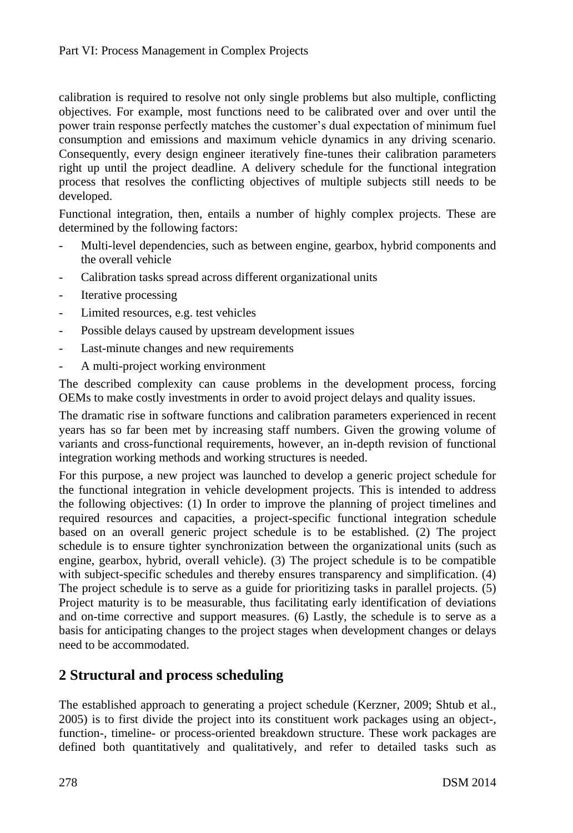calibration is required to resolve not only single problems but also multiple, conflicting objectives. For example, most functions need to be calibrated over and over until the power train response perfectly matches the customer's dual expectation of minimum fuel consumption and emissions and maximum vehicle dynamics in any driving scenario. Consequently, every design engineer iteratively fine-tunes their calibration parameters right up until the project deadline. A delivery schedule for the functional integration process that resolves the conflicting objectives of multiple subjects still needs to be developed.

Functional integration, then, entails a number of highly complex projects. These are determined by the following factors:

- Multi-level dependencies, such as between engine, gearbox, hybrid components and the overall vehicle
- Calibration tasks spread across different organizational units
- Iterative processing
- Limited resources, e.g. test vehicles
- Possible delays caused by upstream development issues
- Last-minute changes and new requirements
- A multi-project working environment

The described complexity can cause problems in the development process, forcing OEMs to make costly investments in order to avoid project delays and quality issues.

The dramatic rise in software functions and calibration parameters experienced in recent years has so far been met by increasing staff numbers. Given the growing volume of variants and cross-functional requirements, however, an in-depth revision of functional integration working methods and working structures is needed.

For this purpose, a new project was launched to develop a generic project schedule for the functional integration in vehicle development projects. This is intended to address the following objectives: (1) In order to improve the planning of project timelines and required resources and capacities, a project-specific functional integration schedule based on an overall generic project schedule is to be established. (2) The project schedule is to ensure tighter synchronization between the organizational units (such as engine, gearbox, hybrid, overall vehicle). (3) The project schedule is to be compatible with subject-specific schedules and thereby ensures transparency and simplification. (4) The project schedule is to serve as a guide for prioritizing tasks in parallel projects. (5) Project maturity is to be measurable, thus facilitating early identification of deviations and on-time corrective and support measures. (6) Lastly, the schedule is to serve as a basis for anticipating changes to the project stages when development changes or delays need to be accommodated.

#### **2 Structural and process scheduling**

The established approach to generating a project schedule (Kerzner, 2009; Shtub et al., 2005) is to first divide the project into its constituent work packages using an object-, function-, timeline- or process-oriented breakdown structure. These work packages are defined both quantitatively and qualitatively, and refer to detailed tasks such as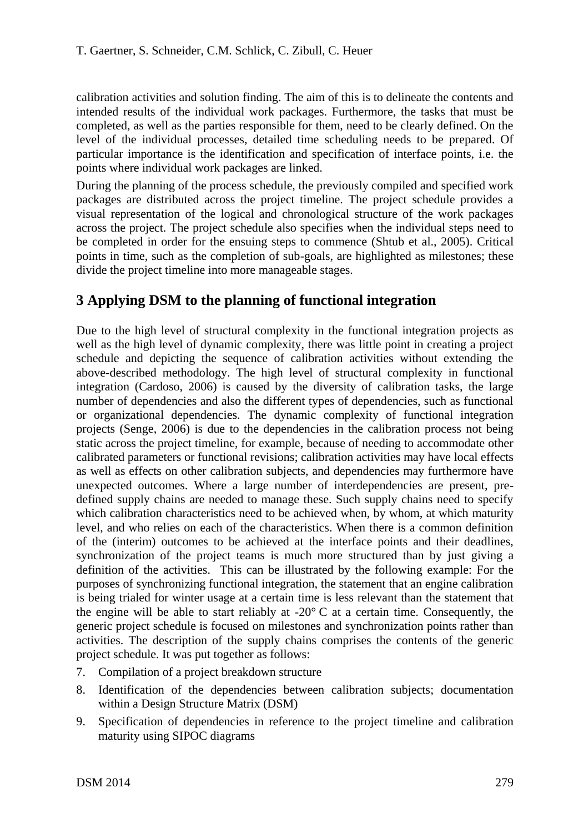calibration activities and solution finding. The aim of this is to delineate the contents and intended results of the individual work packages. Furthermore, the tasks that must be completed, as well as the parties responsible for them, need to be clearly defined. On the level of the individual processes, detailed time scheduling needs to be prepared. Of particular importance is the identification and specification of interface points, i.e. the points where individual work packages are linked.

During the planning of the process schedule, the previously compiled and specified work packages are distributed across the project timeline. The project schedule provides a visual representation of the logical and chronological structure of the work packages across the project. The project schedule also specifies when the individual steps need to be completed in order for the ensuing steps to commence (Shtub et al., 2005). Critical points in time, such as the completion of sub-goals, are highlighted as milestones; these divide the project timeline into more manageable stages.

#### **3 Applying DSM to the planning of functional integration**

Due to the high level of structural complexity in the functional integration projects as well as the high level of dynamic complexity, there was little point in creating a project schedule and depicting the sequence of calibration activities without extending the above-described methodology. The high level of structural complexity in functional integration (Cardoso, 2006) is caused by the diversity of calibration tasks, the large number of dependencies and also the different types of dependencies, such as functional or organizational dependencies. The dynamic complexity of functional integration projects (Senge, 2006) is due to the dependencies in the calibration process not being static across the project timeline, for example, because of needing to accommodate other calibrated parameters or functional revisions; calibration activities may have local effects as well as effects on other calibration subjects, and dependencies may furthermore have unexpected outcomes. Where a large number of interdependencies are present, predefined supply chains are needed to manage these. Such supply chains need to specify which calibration characteristics need to be achieved when, by whom, at which maturity level, and who relies on each of the characteristics. When there is a common definition of the (interim) outcomes to be achieved at the interface points and their deadlines, synchronization of the project teams is much more structured than by just giving a definition of the activities. This can be illustrated by the following example: For the purposes of synchronizing functional integration, the statement that an engine calibration is being trialed for winter usage at a certain time is less relevant than the statement that the engine will be able to start reliably at  $-20^{\circ}$  C at a certain time. Consequently, the generic project schedule is focused on milestones and synchronization points rather than activities. The description of the supply chains comprises the contents of the generic project schedule. It was put together as follows:

- 7. Compilation of a project breakdown structure
- 8. Identification of the dependencies between calibration subjects; documentation within a Design Structure Matrix (DSM)
- 9. Specification of dependencies in reference to the project timeline and calibration maturity using SIPOC diagrams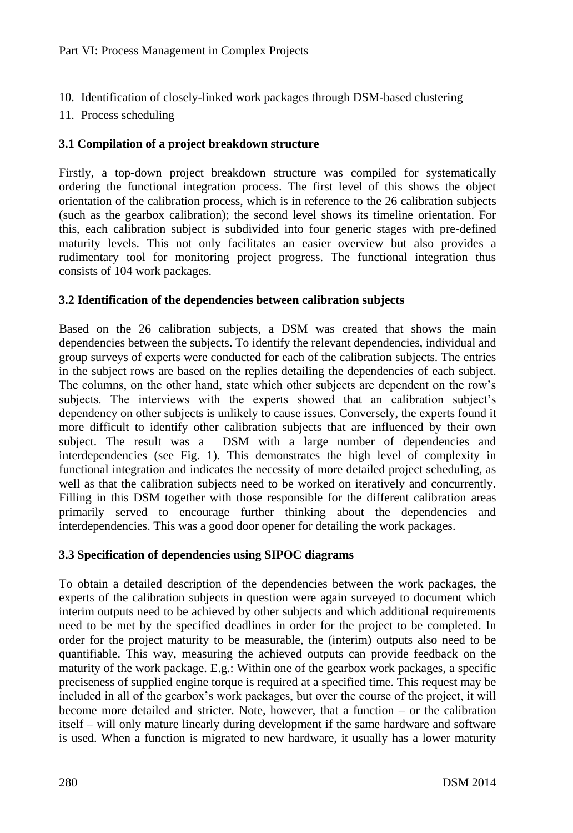- 10. Identification of closely-linked work packages through DSM-based clustering
- 11. Process scheduling

#### **3.1 Compilation of a project breakdown structure**

Firstly, a top-down project breakdown structure was compiled for systematically ordering the functional integration process. The first level of this shows the object orientation of the calibration process, which is in reference to the 26 calibration subjects (such as the gearbox calibration); the second level shows its timeline orientation. For this, each calibration subject is subdivided into four generic stages with pre-defined maturity levels. This not only facilitates an easier overview but also provides a rudimentary tool for monitoring project progress. The functional integration thus consists of 104 work packages.

#### **3.2 Identification of the dependencies between calibration subjects**

Based on the 26 calibration subjects, a DSM was created that shows the main dependencies between the subjects. To identify the relevant dependencies, individual and group surveys of experts were conducted for each of the calibration subjects. The entries in the subject rows are based on the replies detailing the dependencies of each subject. The columns, on the other hand, state which other subjects are dependent on the row's subjects. The interviews with the experts showed that an calibration subject's dependency on other subjects is unlikely to cause issues. Conversely, the experts found it more difficult to identify other calibration subjects that are influenced by their own subject. The result was a DSM with a large number of dependencies and interdependencies (see Fig. 1). This demonstrates the high level of complexity in functional integration and indicates the necessity of more detailed project scheduling, as well as that the calibration subjects need to be worked on iteratively and concurrently. Filling in this DSM together with those responsible for the different calibration areas primarily served to encourage further thinking about the dependencies and interdependencies. This was a good door opener for detailing the work packages.

#### **3.3 Specification of dependencies using SIPOC diagrams**

To obtain a detailed description of the dependencies between the work packages, the experts of the calibration subjects in question were again surveyed to document which interim outputs need to be achieved by other subjects and which additional requirements need to be met by the specified deadlines in order for the project to be completed. In order for the project maturity to be measurable, the (interim) outputs also need to be quantifiable. This way, measuring the achieved outputs can provide feedback on the maturity of the work package. E.g.: Within one of the gearbox work packages, a specific preciseness of supplied engine torque is required at a specified time. This request may be included in all of the gearbox's work packages, but over the course of the project, it will become more detailed and stricter. Note, however, that a function – or the calibration itself – will only mature linearly during development if the same hardware and software is used. When a function is migrated to new hardware, it usually has a lower maturity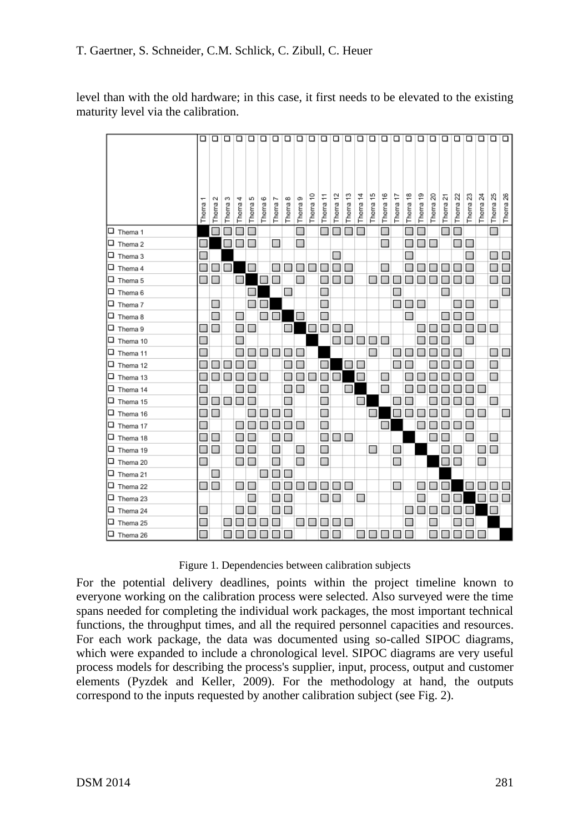|                    | □                        | □                        | □      | □      | □            | □                  | □                        | □                  | □                  | □             | □                           | □                   | □                           | □                   | □                   | □                           | □                   | □                   | □                   | □                   | □                   | $\Box$                   | □                   | □                   | $\Box$                   | □                   |
|--------------------|--------------------------|--------------------------|--------|--------|--------------|--------------------|--------------------------|--------------------|--------------------|---------------|-----------------------------|---------------------|-----------------------------|---------------------|---------------------|-----------------------------|---------------------|---------------------|---------------------|---------------------|---------------------|--------------------------|---------------------|---------------------|--------------------------|---------------------|
|                    |                          |                          |        |        |              |                    |                          |                    |                    |               |                             |                     |                             |                     |                     |                             |                     |                     |                     |                     |                     |                          |                     |                     |                          |                     |
|                    |                          |                          |        |        |              |                    |                          |                    |                    |               |                             |                     |                             |                     |                     |                             |                     |                     |                     |                     |                     |                          |                     |                     |                          |                     |
|                    |                          |                          |        |        |              |                    |                          |                    |                    |               |                             |                     |                             |                     |                     |                             |                     |                     |                     |                     |                     |                          |                     |                     |                          |                     |
|                    |                          |                          |        |        |              |                    |                          |                    |                    |               |                             |                     |                             |                     |                     |                             |                     |                     |                     |                     |                     |                          |                     |                     |                          |                     |
|                    | $\overline{ }$           | $\sim$                   | c.     | 4      | 5            |                    |                          |                    | œ                  |               |                             |                     |                             |                     |                     |                             |                     |                     |                     |                     |                     |                          |                     |                     |                          |                     |
|                    | Thema                    | Thema                    | Thema: | Thema  | <b>Thema</b> | Thema <sub>6</sub> | Thema <sub>7</sub>       | Thema <sub>8</sub> | Thema <sub>s</sub> | Thema 10      | Thema <sub>11</sub>         | Thema <sub>12</sub> | Thema <sub>13</sub>         | Thema <sub>14</sub> | Thema <sub>15</sub> | Thema 16                    | Thema <sub>17</sub> | Thema <sub>18</sub> | Thema <sub>19</sub> | Thema <sub>20</sub> | Thema <sub>21</sub> | Thema <sub>22</sub>      | Thema <sub>23</sub> | Thema <sub>24</sub> | Thema <sub>25</sub>      | Thema <sub>26</sub> |
| $\square$ Thema 1  |                          |                          |        |        |              |                    |                          |                    | $\Box$             |               | $\mathcal{L}_{\mathcal{A}}$ | П                   |                             |                     |                     | $\mathcal{L}_{\mathcal{A}}$ |                     |                     |                     |                     | П                   | $\overline{\phantom{a}}$ |                     |                     | $\overline{\phantom{a}}$ |                     |
| $\square$ Thema 2  |                          |                          |        |        | J            |                    | □                        |                    | □                  |               |                             |                     |                             |                     |                     | $\Box$                      |                     |                     | ┓                   | $\Box$              |                     | П                        | ⊓                   |                     |                          |                     |
| $\square$ Thema 3  | $\Box$                   |                          |        |        |              |                    |                          |                    |                    |               |                             | $\Box$              |                             |                     |                     |                             |                     | □                   |                     |                     |                     |                          | П                   |                     | $\Box$                   | $\Box$              |
| $\square$ Thema 4  |                          | П                        | Г      |        | П            |                    | $\overline{\phantom{a}}$ |                    |                    | $\sim$        |                             |                     | $\mathcal{L}_{\mathcal{A}}$ |                     |                     | $\blacksquare$              |                     |                     |                     |                     |                     |                          |                     |                     |                          |                     |
| $\square$ Thema 5  | $\Box$                   | П                        |        |        |              |                    | ■                        |                    |                    |               |                             | ┓                   | $\Box$                      |                     | П                   | $\Box$                      |                     |                     |                     |                     |                     |                          |                     |                     | $\Box$                   |                     |
| $\square$ Thema 6  |                          |                          |        |        | Г            |                    |                          | П                  |                    |               | $\mathcal{L}_{\mathcal{A}}$ |                     |                             |                     |                     |                             | $\Box$              |                     |                     |                     | П                   |                          |                     |                     |                          | г                   |
| $\square$ Thema 7  |                          | П                        |        |        | $\Box$       |                    |                          |                    |                    |               | $\Box$                      |                     |                             |                     |                     |                             | $\Box$              |                     | $\Box$              |                     |                     | П                        | □                   |                     | $\Box$                   |                     |
| $\square$ Thema 8  |                          | $\Box$                   |        | $\Box$ |              | $\Box$             |                          |                    |                    |               | П                           |                     |                             |                     |                     |                             |                     | П                   |                     |                     | П                   | <b>The State</b>         |                     |                     |                          |                     |
| $\square$ Thema 9  |                          | $\overline{\phantom{a}}$ |        | П      | □            |                    |                          |                    |                    |               |                             |                     | П                           |                     |                     |                             |                     |                     |                     |                     |                     |                          |                     |                     | $\Box$                   |                     |
| $\square$ Thema 10 | $\Box$                   |                          |        | П      |              |                    |                          |                    |                    |               |                             |                     |                             |                     | ┐                   | П                           |                     |                     |                     |                     |                     |                          | П                   |                     |                          |                     |
| $\square$ Thema 11 |                          |                          |        |        | ۰            | П                  |                          |                    |                    |               |                             |                     |                             |                     | П                   |                             |                     |                     |                     |                     |                     | ▀                        |                     |                     | П                        | П                   |
| $\Box$ Thema 12    | П                        | □                        |        |        |              |                    |                          |                    |                    |               |                             |                     |                             | $\Box$              |                     |                             |                     |                     |                     |                     |                     |                          |                     |                     | $\Box$                   |                     |
| $\square$ Thema 13 |                          | П                        |        |        |              | П                  |                          |                    |                    | П             | П                           |                     |                             |                     |                     | $\Box$                      |                     |                     |                     |                     |                     |                          |                     |                     | П                        |                     |
| $\square$ Thema 14 |                          |                          |        |        |              |                    |                          | П                  |                    |               | Π                           |                     |                             |                     |                     | П                           |                     |                     |                     |                     |                     |                          |                     | ٠                   |                          |                     |
| $\square$ Thema 15 |                          | П                        | □      |        | ┓            |                    |                          | $\Box$             |                    |               | $\Box$                      |                     |                             | $\Box$              |                     |                             |                     |                     |                     |                     |                     |                          |                     |                     | П                        |                     |
| $\square$ Thema 16 | $\Box$                   | $\Box$                   |        |        |              |                    |                          | $\Box$             |                    |               | $\Box$                      |                     |                             |                     |                     |                             |                     |                     |                     |                     |                     |                          |                     | $\Box$ $\Box$       |                          |                     |
| $\square$ Thema 17 | □                        |                          |        |        | ┓            |                    |                          | ⊓                  | □                  |               | $\Box$                      |                     |                             |                     |                     |                             |                     |                     |                     |                     |                     | ■                        | $\Box$              |                     |                          |                     |
| $\square$ Thema 18 |                          | П                        |        | П      | П            |                    |                          | $\Box$             |                    |               | □                           | П                   | $\Box$                      |                     |                     |                             |                     |                     |                     |                     |                     |                          | П                   |                     | $\Box$                   |                     |
| $\square$ Thema 19 |                          | $\Box$                   |        |        | П            |                    |                          |                    | H                  |               | $\overline{\phantom{0}}$    |                     |                             |                     | $\Box$              |                             | $\Box$              |                     |                     |                     |                     | ш                        |                     |                     | П                        |                     |
| $\square$ Thema 20 | $\Box$                   |                          |        | П      | П            |                    | П                        |                    | П                  |               | $\Box$                      |                     |                             |                     |                     |                             | $\Box$              |                     |                     |                     |                     | П                        |                     | $\Box$              |                          |                     |
| $\square$ Thema 21 |                          | $\Box$                   |        |        |              | <b>I</b>           | П                        |                    |                    |               |                             |                     |                             |                     |                     |                             |                     |                     |                     |                     |                     |                          |                     |                     |                          |                     |
| $\Box$ Thema 22    | □                        | $\Box$                   |        | П      | $\Box$       |                    |                          |                    |                    | $\sim$        | □                           |                     | □                           |                     |                     |                             | $\Box$              |                     |                     |                     |                     |                          |                     |                     |                          |                     |
| $\Box$ Thema 23    |                          |                          |        |        | П            |                    |                          |                    |                    |               | $\Box$                      | $\Box$              |                             | $\Box$              |                     |                             |                     |                     |                     |                     |                     |                          |                     |                     |                          |                     |
| $\square$ Thema 24 | $\overline{\phantom{a}}$ |                          |        |        | П            |                    | ٠                        | П                  |                    |               |                             |                     |                             |                     |                     |                             |                     |                     |                     |                     |                     |                          |                     |                     |                          |                     |
| $\Box$ Thema 25    | □                        |                          |        |        |              |                    | ш                        |                    |                    | $\Box$ $\Box$ | □                           |                     | □                           |                     |                     |                             |                     |                     |                     |                     |                     |                          |                     |                     |                          |                     |
| $\square$ Thema 26 | $\Box$                   |                          |        |        |              |                    |                          |                    |                    |               | П                           | П                   |                             | П                   |                     |                             |                     |                     |                     |                     |                     |                          |                     |                     |                          |                     |

level than with the old hardware; in this case, it first needs to be elevated to the existing maturity level via the calibration.

Figure 1. Dependencies between calibration subjects

For the potential delivery deadlines, points within the project timeline known to everyone working on the calibration process were selected. Also surveyed were the time spans needed for completing the individual work packages, the most important technical functions, the throughput times, and all the required personnel capacities and resources. For each work package, the data was documented using so-called SIPOC diagrams, which were expanded to include a chronological level. SIPOC diagrams are very useful process models for describing the process's supplier, input, process, output and customer elements (Pyzdek and Keller, 2009). For the methodology at hand, the outputs correspond to the inputs requested by another calibration subject (see Fig. 2).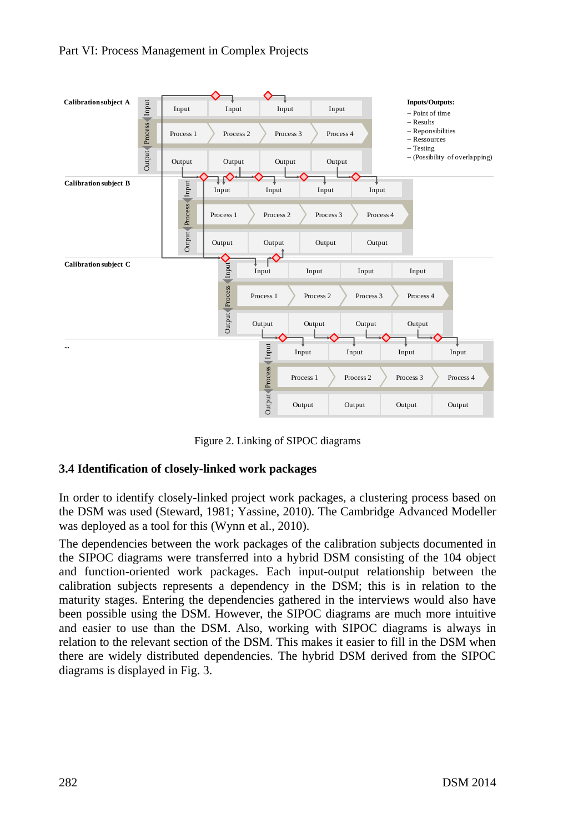#### Part VI: Process Management in Complex Projects



Figure 2. Linking of SIPOC diagrams

#### **3.4 Identification of closely-linked work packages**

In order to identify closely-linked project work packages, a clustering process based on the DSM was used (Steward, 1981; Yassine, 2010). The Cambridge Advanced Modeller was deployed as a tool for this (Wynn et al., 2010).

The dependencies between the work packages of the calibration subjects documented in the SIPOC diagrams were transferred into a hybrid DSM consisting of the 104 object and function-oriented work packages. Each input-output relationship between the calibration subjects represents a dependency in the DSM; this is in relation to the maturity stages. Entering the dependencies gathered in the interviews would also have been possible using the DSM. However, the SIPOC diagrams are much more intuitive and easier to use than the DSM. Also, working with SIPOC diagrams is always in relation to the relevant section of the DSM. This makes it easier to fill in the DSM when there are widely distributed dependencies. The hybrid DSM derived from the SIPOC diagrams is displayed in Fig. 3.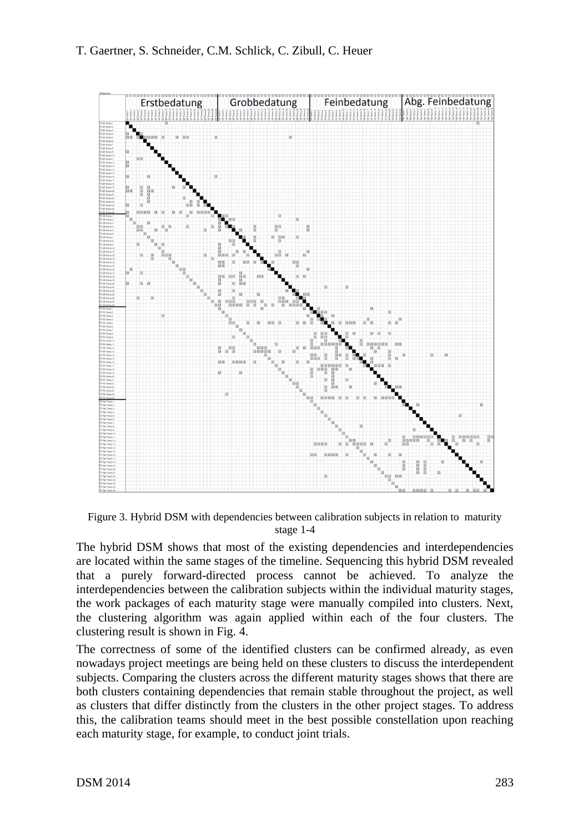#### T. Gaertner, S. Schneider, C.M. Schlick, C. Zibull, C. Heuer



Figure 3. Hybrid DSM with dependencies between calibration subjects in relation to maturity stage 1-4

The hybrid DSM shows that most of the existing dependencies and interdependencies are located within the same stages of the timeline. Sequencing this hybrid DSM revealed that a purely forward-directed process cannot be achieved. To analyze the interdependencies between the calibration subjects within the individual maturity stages, the work packages of each maturity stage were manually compiled into clusters. Next, the clustering algorithm was again applied within each of the four clusters. The clustering result is shown in Fig. 4.

The correctness of some of the identified clusters can be confirmed already, as even nowadays project meetings are being held on these clusters to discuss the interdependent subjects. Comparing the clusters across the different maturity stages shows that there are both clusters containing dependencies that remain stable throughout the project, as well as clusters that differ distinctly from the clusters in the other project stages. To address this, the calibration teams should meet in the best possible constellation upon reaching each maturity stage, for example, to conduct joint trials.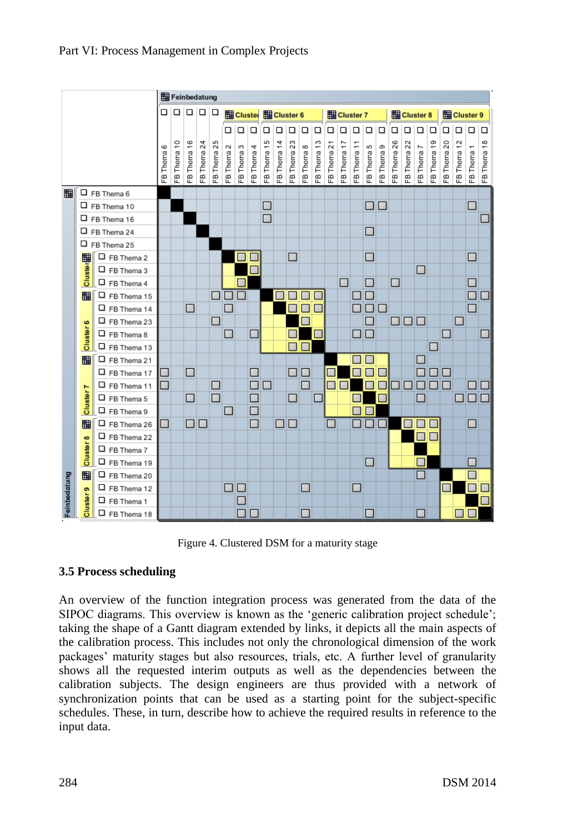

Figure 4. Clustered DSM for a maturity stage

#### **3.5 Process scheduling**

An overview of the function integration process was generated from the data of the SIPOC diagrams. This overview is known as the 'generic calibration project schedule'; taking the shape of a Gantt diagram extended by links, it depicts all the main aspects of the calibration process. This includes not only the chronological dimension of the work packages' maturity stages but also resources, trials, etc. A further level of granularity shows all the requested interim outputs as well as the dependencies between the calibration subjects. The design engineers are thus provided with a network of synchronization points that can be used as a starting point for the subject-specific schedules. These, in turn, describe how to achieve the required results in reference to the input data.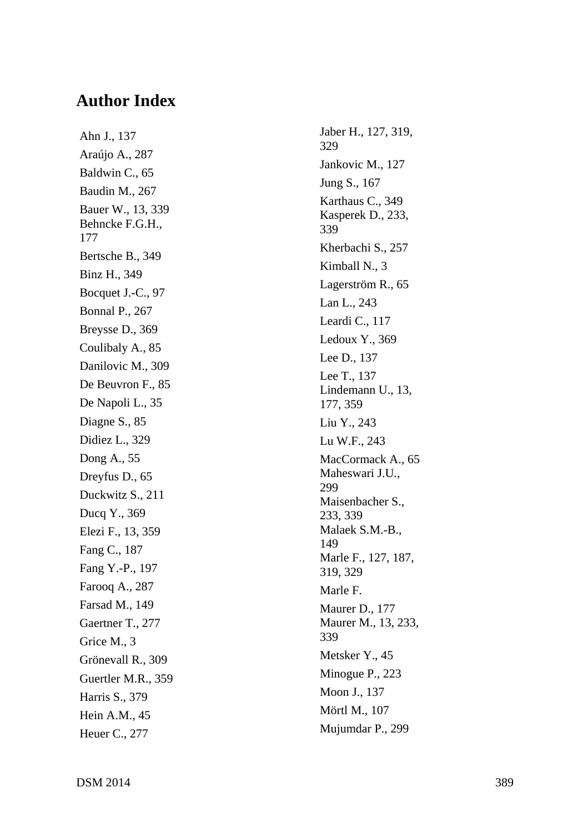# **Author Index**

Ahn J., 137 Araújo A., 287 Baldwin C., 65 Baudin M., 267 Bauer W., 13, 339 Behncke F.G.H., 177 Bertsche B., 349 Binz H., 349 Bocquet J. -C., 97 Bonnal P., 267 Breysse D., 369 Coulibaly A., 85 Danilovic M., 309 De Beuvron F., 85 De Napoli L., 35 Diagne S. , 85 Didiez L., 329 Dong A., 55 Dreyfus D., 65 Duckwitz S., 211 Ducq Y., 369 Elezi F., 13, 359 Fang C., 187 Fang Y. -P., 197 Farooq A., 287 Farsad M., 149 Gaertner T., 277 Grice M., 3 Grönevall R., 309 Guertler M.R., 359 Harris S., 379 Hein A.M., 45 Heuer C., 277

Jaber H., 127, 319, 329 Jankovic M., 127 Jung S., 167 Karthaus C., 349 Kasperek D., 233, 339 Kherbachi S., 257 Kimball N., 3 Lagerström R., 65 Lan L., 243 Leardi C., 117 Ledoux Y., 369 Lee D., 137 Lee T., 137 Lindemann U., 13, 177, 359 Liu Y., 243 Lu W.F., 243 MacCormack A., 65 Maheswari J.U., 299 Maisenbacher S., 233, 339 Malaek S.M. -B., 149 Marle F., 127, 187, 319, 329 Marle F. Maurer D., 177 Maurer M. , 13, 233, 339 Metsker Y., 45 Minogue P., 223 Moon J., 137 Mörtl M., 107 Mujumdar P., 299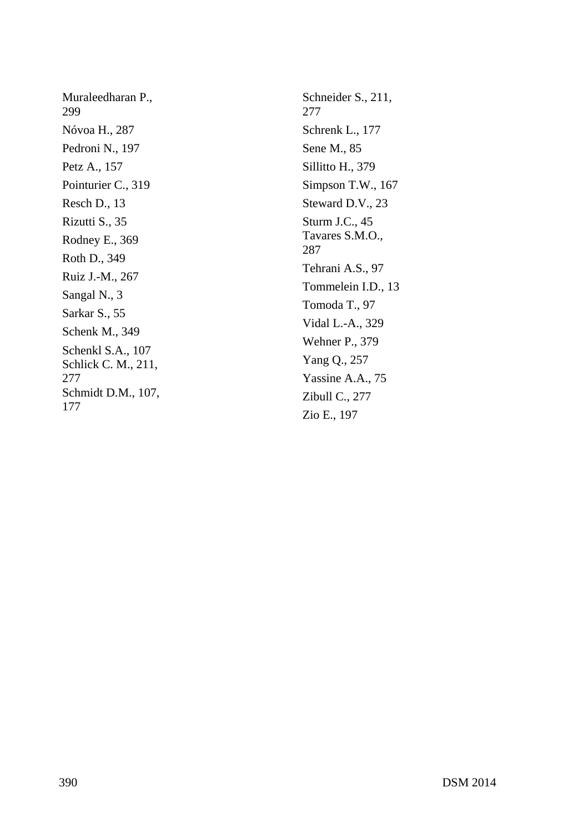Muraleedharan P., 299 Nóvoa H., 287 Pedroni N., 197 Petz A., 157 Pointurier C., 319 Resch D., 13 Rizutti S., 35 Rodney E., 369 Roth D., 349 Ruiz J.-M., 267 Sangal N., 3 Sarkar S., 55 Schenk M., 349 Schenkl S.A., 107 Schlick C. M., 211, 277 Schmidt D.M., 107, 177

Schneider S., 211, 277 Schrenk L., 177 Sene M., 85 Sillitto H., 379 Simpson T.W., 167 Steward D.V., 23 Sturm J.C., 45 Tavares S.M.O., 287 Tehrani A.S., 97 Tommelein I.D., 13 Tomoda T., 97 Vidal L.-A., 329 Wehner P., 379 Yang Q., 257 Yassine A.A., 75 Zibull C., 277 Zio E., 197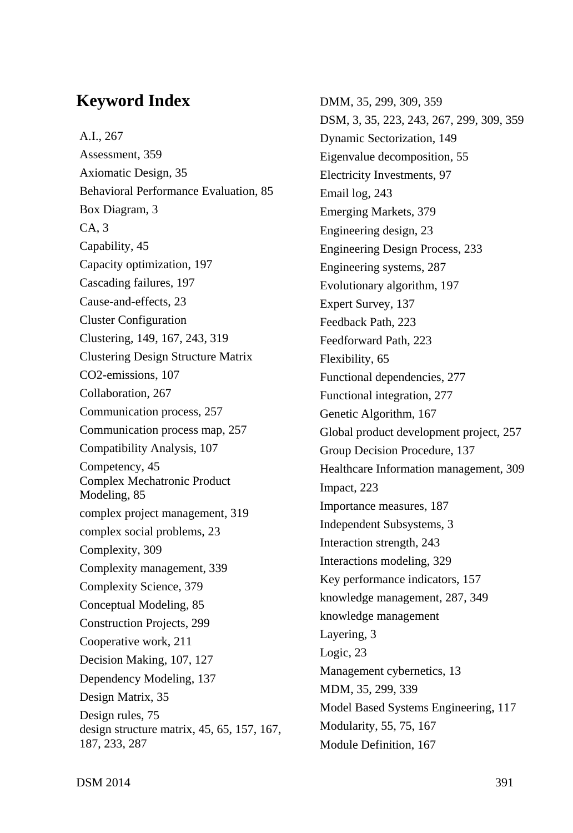# **Keyword Index**

A.I., 267 Assessment, 359 Axiomatic Design, 35 Behavioral Performance Evaluation, 85 Box Diagram, 3 CA, 3 Capability, 45 Capacity optimization, 197 Cascading failures, 197 Cause-and-effects, 23 Cluster Configuration Clustering, 149, 167, 243, 319 Clustering Design Structure Matrix CO2-emissions, 107 Collaboration, 267 Communication process, 257 Communication process map, 257 Compatibility Analysis, 107 Competency, 45 Complex Mechatronic Product Modeling, 85 complex project management, 319 complex social problems, 23 Complexity, 309 Complexity management, 339 Complexity Science, 379 Conceptual Modeling, 85 Construction Projects, 299 Cooperative work, 211 Decision Making, 107, 127 Dependency Modeling, 137 Design Matrix, 35 Design rules, 75 design structure matrix, 45, 65, 157, 167, 187, 233, 287

DMM, 35, 299, 309, 359 DSM, 3, 35, 223, 243, 267, 299, 309, 359 Dynamic Sectorization, 149 Eigenvalue decomposition, 55 Electricity Investments, 97 Email log, 243 Emerging Markets, 379 Engineering design, 23 Engineering Design Process, 233 Engineering systems, 287 Evolutionary algorithm, 197 Expert Survey, 137 Feedback Path, 223 Feedforward Path, 223 Flexibility, 65 Functional dependencies, 277 Functional integration, 277 Genetic Algorithm, 167 Global product development project, 257 Group Decision Procedure, 137 Healthcare Information management, 309 Impact, 223 Importance measures, 187 Independent Subsystems, 3 Interaction strength, 243 Interactions modeling, 329 Key performance indicators, 157 knowledge management, 287, 349 knowledge management Layering, 3 Logic, 23 Management cybernetics, 13 MDM, 35, 299, 339 Model Based Systems Engineering, 117 Modularity, 55, 75, 167 Module Definition, 167